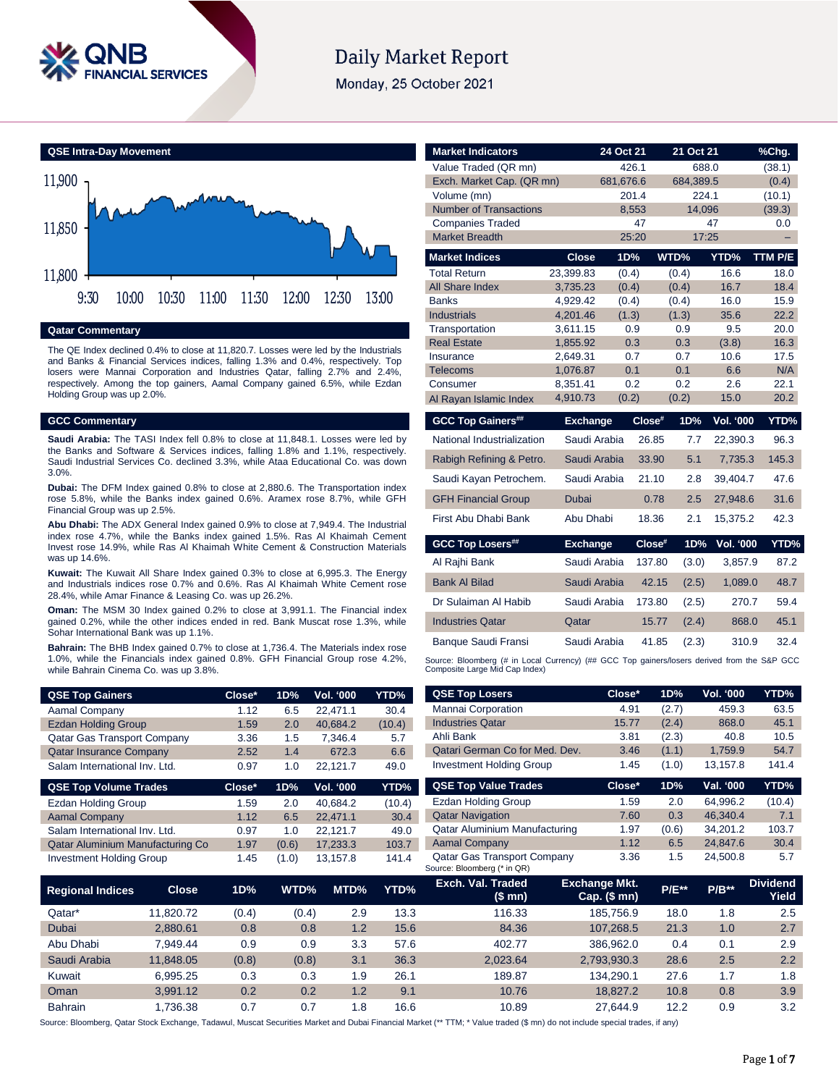

# **Daily Market Report**

Monday, 25 October 2021



**Qatar Commentary**

The QE Index declined 0.4% to close at 11,820.7. Losses were led by the Industrials and Banks & Financial Services indices, falling 1.3% and 0.4%, respectively. Top losers were Mannai Corporation and Industries Qatar, falling 2.7% and 2.4%, respectively. Among the top gainers, Aamal Company gained 6.5%, while Ezdan Holding Group was up 2.0%.

### **GCC Commentary**

**Saudi Arabia:** The TASI Index fell 0.8% to close at 11,848.1. Losses were led by the Banks and Software & Services indices, falling 1.8% and 1.1%, respectively. Saudi Industrial Services Co. declined 3.3%, while Ataa Educational Co. was down 3.0%.

**Dubai:** The DFM Index gained 0.8% to close at 2,880.6. The Transportation index rose 5.8%, while the Banks index gained 0.6%. Aramex rose 8.7%, while GFH Financial Group was up 2.5%.

**Abu Dhabi:** The ADX General Index gained 0.9% to close at 7,949.4. The Industrial index rose 4.7%, while the Banks index gained 1.5%. Ras Al Khaimah Cement Invest rose 14.9%, while Ras Al Khaimah White Cement & Construction Materials was up 14.6%.

**Kuwait:** The Kuwait All Share Index gained 0.3% to close at 6,995.3. The Energy and Industrials indices rose 0.7% and 0.6%. Ras Al Khaimah White Cement rose 28.4%, while Amar Finance & Leasing Co. was up 26.2%.

**Oman:** The MSM 30 Index gained 0.2% to close at 3,991.1. The Financial index gained 0.2%, while the other indices ended in red. Bank Muscat rose 1.3%, while Sohar International Bank was up 1.1%.

**Bahrain:** The BHB Index gained 0.7% to close at 1,736.4. The Materials index rose 1.0%, while the Financials index gained 0.8%. GFH Financial Group rose 4.2%, while Bahrain Cinema Co. was up 3.8%.

| <b>QSE Top Gainers</b>             | Close* | 1D% | <b>Vol. '000</b> | YTD%   |
|------------------------------------|--------|-----|------------------|--------|
| Aamal Company                      | 1.12   | 6.5 | 22.471.1         | 30.4   |
| <b>Ezdan Holding Group</b>         | 1.59   | 2.0 | 40.684.2         | (10.4) |
| <b>Qatar Gas Transport Company</b> | 3.36   | 1.5 | 7.346.4          | 5.7    |
| <b>Qatar Insurance Company</b>     | 2.52   | 1.4 | 672.3            | 6.6    |
| Salam International Inv. Ltd.      | 0.97   | 1.0 | 22.121.7         | 49.0   |

| <b>QSE Top Volume Trades</b>     | Close* | 1D%   | <b>Vol. '000</b> | YTD%   |
|----------------------------------|--------|-------|------------------|--------|
| <b>Ezdan Holding Group</b>       | 1.59   | 2.0   | 40.684.2         | (10.4) |
| <b>Aamal Company</b>             | 1.12   | 6.5   | 22.471.1         | 30.4   |
| Salam International Inv. Ltd.    | 0.97   | 1.0   | 22.121.7         | 49.0   |
| Qatar Aluminium Manufacturing Co | 1.97   | (0.6) | 17.233.3         | 103.7  |
| <b>Investment Holding Group</b>  | 1.45   | (1.0) | 13,157.8         | 141.4  |

| <b>Market Indicators</b>      |                      | 24 Oct 21  | 21 Oct 21      |                  | %Chg.             |
|-------------------------------|----------------------|------------|----------------|------------------|-------------------|
| Value Traded (QR mn)          |                      | 426.1      | 688.0          |                  | (38.1)            |
| Exch. Market Cap. (QR mn)     |                      | 681,676.6  | 684,389.5      |                  | (0.4)             |
| Volume (mn)                   |                      | 201.4      | 224.1          |                  | (10.1)            |
| <b>Number of Transactions</b> |                      | 8,553      | 14,096         |                  | (39.3)            |
| <b>Companies Traded</b>       |                      | 47         |                | 47               | 0.0               |
| <b>Market Breadth</b>         |                      | 25:20      | 17:25          |                  | -                 |
| <b>Market Indices</b>         | <b>Close</b>         | 1D%        | WTD%           | YTD%             | TTM P/E           |
| <b>Total Return</b>           | 23,399.83            | (0.4)      | (0.4)          | 16.6             | 18.0              |
| <b>All Share Index</b>        | 3,735.23             | (0.4)      | (0.4)          | 16.7             | 18.4              |
| <b>Banks</b>                  | 4,929.42             | (0.4)      | (0.4)          | 16.0             | 15.9              |
| <b>Industrials</b>            | 4.201.46             | (1.3)      | (1.3)          | 35.6             | 22.2              |
| Transportation                | 3,611.15             | 0.9        | 0.9            | 9.5              | 20.0              |
| <b>Real Estate</b>            | 1,855.92             | 0.3        | 0.3            | (3.8)            | 16.3              |
| Insurance<br>Telecoms         | 2,649.31<br>1,076.87 | 0.7<br>0.1 | 0.7<br>0.1     | 10.6<br>6.6      | 17.5<br>N/A       |
| Consumer                      | 8,351.41             | 0.2        | 0.2            | 2.6              | 22.1              |
| Al Rayan Islamic Index        | 4,910.73             | (0.2)      | (0.2)          | 15.0             | 20.2 <sub>2</sub> |
|                               |                      |            |                |                  |                   |
| <b>GCC Top Gainers##</b>      | <b>Exchange</b>      | Close#     | 1D%            | <b>Vol. '000</b> | YTD%              |
| National Industrialization    | Saudi Arabia         | 26.85      | 7.7            | 22,390.3         | 96.3              |
| Rabigh Refining & Petro.      | Saudi Arabia         | 33.90      | 5.1            | 7,735.3          | 145.3             |
| Saudi Kayan Petrochem.        | Saudi Arabia         | 21.10      | 2.8            | 39,404.7         | 47.6              |
| <b>GFH Financial Group</b>    | Dubai                | 0.78       | 2.5            | 27,948.6         | 31.6              |
| First Abu Dhabi Bank          | Abu Dhabi            | 18.36      | 2.1            | 15,375.2         | 42.3              |
| <b>GCC Top Losers##</b>       | <b>Exchange</b>      | Close#     | 1D%            | <b>Vol. '000</b> | YTD%              |
| Al Rajhi Bank                 | Saudi Arabia         | 137.80     | (3.0)          | 3,857.9          | 87.2              |
|                               |                      |            | 42.15<br>(2.5) | 1,089.0          | 48.7              |
| <b>Bank Al Bilad</b>          | Saudi Arabia         |            |                |                  |                   |
| Dr Sulaiman Al Habib          | Saudi Arabia         | 173.80     | (2.5)          | 270.7            |                   |
| <b>Industries Qatar</b>       | Qatar                |            | 15.77<br>(2.4) | 868.0            | 45.1              |
| Banque Saudi Fransi           | Saudi Arabia         | 41.85      | (2.3)          | 310.9            | 59.4<br>32.4      |

| <b>QSE Top Losers</b>           | Close* | 1D%   | Vol. '000 | YTD%   |
|---------------------------------|--------|-------|-----------|--------|
| Mannai Corporation              | 4.91   | (2.7) | 459.3     | 63.5   |
| <b>Industries Qatar</b>         | 15.77  | (2.4) | 868.0     | 45.1   |
| Ahli Bank                       | 3.81   | (2.3) | 40.8      | 10.5   |
| Qatari German Co for Med. Dev.  | 3.46   | (1.1) | 1.759.9   | 54.7   |
| <b>Investment Holding Group</b> | 1.45   | (1.0) | 13.157.8  | 141.4  |
| <b>QSE Top Value Trades</b>     | Close* | 1D%   | Val. '000 | YTD%   |
| Ezdan Holding Group             | 1.59   | 2.0   | 64.996.2  | (10.4) |
| <b>Qatar Navigation</b>         | 7.60   | 0.3   | 46.340.4  | 7.1    |

Qatar Aluminium Manufacturing 1.97 (0.6) 34,201.2 103.7 Aamal Company 1.12 6.5 24,847.6 30.4 Qatar Gas Transport Company 3.36 1.5 24,500.8 5.7

|                         |              |       |       |      |      | obdice. Dioditibery (The Giv) |                                          |              |         |                          |
|-------------------------|--------------|-------|-------|------|------|-------------------------------|------------------------------------------|--------------|---------|--------------------------|
| <b>Regional Indices</b> | <b>Close</b> | 1D%   | WTD%  | MTD% | YTD% | Exch. Val. Traded<br>(\$ mn)  | <b>Exchange Mkt.</b><br>Cap. $($$ mn $)$ | <b>P/E**</b> | $P/B**$ | <b>Dividend</b><br>Yield |
| Qatar*                  | 11.820.72    | (0.4) | (0.4) | 2.9  | 13.3 | 116.33                        | 185.756.9                                | 18.0         | 1.8     | 2.5                      |
| <b>Dubai</b>            | 2.880.61     | 0.8   | 0.8   | 1.2  | 15.6 | 84.36                         | 107.268.5                                | 21.3         | 1.0     | 2.7                      |
| Abu Dhabi               | 7.949.44     | 0.9   | 0.9   | 3.3  | 57.6 | 402.77                        | 386.962.0                                | 0.4          | 0.1     | 2.9                      |
| Saudi Arabia            | 11.848.05    | (0.8) | (0.8) | 3.1  | 36.3 | 2.023.64                      | 2,793,930.3                              | 28.6         | 2.5     | 2.2                      |
| Kuwait                  | 6.995.25     | 0.3   | 0.3   | 1.9  | 26.1 | 189.87                        | 134.290.1                                | 27.6         | 1.7     | 1.8                      |
| Oman                    | 3.991.12     | 0.2   | 0.2   | 1.2  | 9.1  | 10.76                         | 18.827.2                                 | 10.8         | 0.8     | 3.9                      |
| <b>Bahrain</b>          | .736.38      | 0.7   | 0.7   | . .8 | 16.6 | 10.89                         | 27.644.9                                 | 12.2         | 0.9     | 3.2                      |

Source: Bloomberg (\* in QR)

Source: Bloomberg, Qatar Stock Exchange, Tadawul, Muscat Securities Market and Dubai Financial Market (\*\* TTM; \* Value traded (\$ mn) do not include special trades, if any)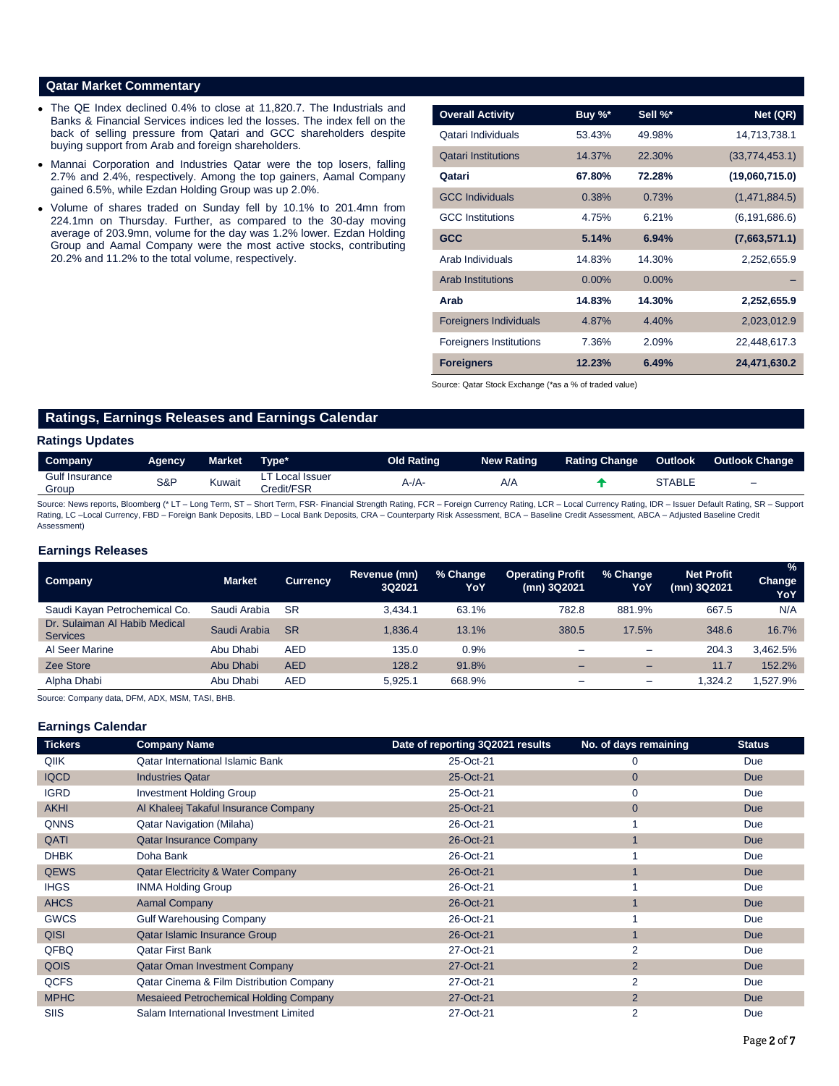### **Qatar Market Commentary**

- The QE Index declined 0.4% to close at 11,820.7. The Industrials and Banks & Financial Services indices led the losses. The index fell on the back of selling pressure from Qatari and GCC shareholders despite buying support from Arab and foreign shareholders.
- Mannai Corporation and Industries Qatar were the top losers, falling 2.7% and 2.4%, respectively. Among the top gainers, Aamal Company gained 6.5%, while Ezdan Holding Group was up 2.0%.
- Volume of shares traded on Sunday fell by 10.1% to 201.4mn from 224.1mn on Thursday. Further, as compared to the 30-day moving average of 203.9mn, volume for the day was 1.2% lower. Ezdan Holding Group and Aamal Company were the most active stocks, contributing 20.2% and 11.2% to the total volume, respectively.

| <b>Overall Activity</b>        | Buy $\%^*$ | Sell %*  | Net (QR)        |
|--------------------------------|------------|----------|-----------------|
| Qatari Individuals             | 53.43%     | 49.98%   | 14,713,738.1    |
| <b>Qatari Institutions</b>     | 14.37%     | 22.30%   | (33,774,453.1)  |
| Qatari                         | 67.80%     | 72.28%   | (19,060,715.0)  |
| <b>GCC Individuals</b>         | 0.38%      | 0.73%    | (1,471,884.5)   |
| <b>GCC</b> Institutions        | 4.75%      | 6.21%    | (6, 191, 686.6) |
| <b>GCC</b>                     | 5.14%      | 6.94%    | (7,663,571.1)   |
| Arab Individuals               | 14.83%     | 14.30%   | 2,252,655.9     |
| <b>Arab Institutions</b>       | $0.00\%$   | $0.00\%$ |                 |
| Arab                           | 14.83%     | 14.30%   | 2,252,655.9     |
| <b>Foreigners Individuals</b>  | 4.87%      | 4.40%    | 2,023,012.9     |
| <b>Foreigners Institutions</b> | 7.36%      | 2.09%    | 22,448,617.3    |
| <b>Foreigners</b>              | 12.23%     | 6.49%    | 24,471,630.2    |

Source: Qatar Stock Exchange (\*as a % of traded value)

# **Ratings, Earnings Releases and Earnings Calendar**

#### **Ratings Updates**

| Company                 | <b>Agency</b> | Market | ⊺vpe*                      | <b>Old Rating</b> | <b>New Rating</b> | <b>Rating Change</b> | Outlook          | <b>Outlook Change</b> |
|-------------------------|---------------|--------|----------------------------|-------------------|-------------------|----------------------|------------------|-----------------------|
| Gulf Insurance<br>Group | S&P           | Kuwait | Local Issuer<br>Credit/FSR | 4-7A              | A/A               |                      | $\uparrow$ TABLE | -                     |

Source: News reports, Bloomberg (\* LT – Long Term, ST – Short Term, FSR- Financial Strength Rating, FCR – Foreign Currency Rating, LCR – Local Currency Rating, IDR – Issuer Default Rating, SR – Support Rating, LC -Local Currency, FBD - Foreign Bank Deposits, LBD - Local Bank Deposits, CRA - Counterparty Risk Assessment, BCA - Baseline Credit Assessment, ABCA - Adjusted Baseline Credit Assessment)

#### **Earnings Releases**

| <b>Company</b>                                   | <b>Market</b> | <b>Currency</b> | Revenue (mn)<br>3Q2021 | % Change<br>YoY | <b>Operating Profit</b><br>(mn) 3Q2021 | % Change<br>YoY          | <b>Net Profit</b><br>(mn) 3Q2021 | %<br>Change<br>YoY |
|--------------------------------------------------|---------------|-----------------|------------------------|-----------------|----------------------------------------|--------------------------|----------------------------------|--------------------|
| Saudi Kayan Petrochemical Co.                    | Saudi Arabia  | <b>SR</b>       | 3.434.1                | 63.1%           | 782.8                                  | 881.9%                   | 667.5                            | N/A                |
| Dr. Sulaiman Al Habib Medical<br><b>Services</b> | Saudi Arabia  | <b>SR</b>       | 1.836.4                | 13.1%           | 380.5                                  | 17.5%                    | 348.6                            | 16.7%              |
| Al Seer Marine                                   | Abu Dhabi     | <b>AED</b>      | 135.0                  | 0.9%            |                                        |                          | 204.3                            | 3.462.5%           |
| Zee Store                                        | Abu Dhabi     | <b>AED</b>      | 128.2                  | 91.8%           |                                        | $\overline{\phantom{0}}$ | 11.7                             | 152.2%             |
| Alpha Dhabi                                      | Abu Dhabi     | <b>AED</b>      | 5.925.1                | 668.9%          | -                                      | $\overline{\phantom{0}}$ | 1.324.2                          | .527.9%            |

Source: Company data, DFM, ADX, MSM, TASI, BHB.

#### **Earnings Calendar**

| <b>Tickers</b> | <b>Company Name</b>                          | Date of reporting 3Q2021 results | No. of days remaining | <b>Status</b> |
|----------------|----------------------------------------------|----------------------------------|-----------------------|---------------|
| QIIK           | <b>Qatar International Islamic Bank</b>      | 25-Oct-21                        | 0                     | Due           |
| <b>IQCD</b>    | <b>Industries Qatar</b>                      | 25-Oct-21                        | $\mathbf{0}$          | <b>Due</b>    |
| <b>IGRD</b>    | <b>Investment Holding Group</b>              | 25-Oct-21                        | 0                     | Due           |
| <b>AKHI</b>    | Al Khaleej Takaful Insurance Company         | 25-Oct-21                        | $\mathbf{0}$          | <b>Due</b>    |
| <b>QNNS</b>    | <b>Qatar Navigation (Milaha)</b>             | 26-Oct-21                        |                       | Due           |
| QATI           | <b>Qatar Insurance Company</b>               | 26-Oct-21                        |                       | <b>Due</b>    |
| <b>DHBK</b>    | Doha Bank                                    | 26-Oct-21                        |                       | Due           |
| <b>QEWS</b>    | <b>Qatar Electricity &amp; Water Company</b> | 26-Oct-21                        |                       | <b>Due</b>    |
| <b>IHGS</b>    | <b>INMA Holding Group</b>                    | 26-Oct-21                        |                       | Due           |
| <b>AHCS</b>    | <b>Aamal Company</b>                         | 26-Oct-21                        |                       | <b>Due</b>    |
| <b>GWCS</b>    | <b>Gulf Warehousing Company</b>              | 26-Oct-21                        |                       | Due           |
| <b>QISI</b>    | Qatar Islamic Insurance Group                | 26-Oct-21                        |                       | <b>Due</b>    |
| QFBQ           | <b>Qatar First Bank</b>                      | 27-Oct-21                        | $\overline{2}$        | Due           |
| QOIS           | <b>Qatar Oman Investment Company</b>         | 27-Oct-21                        | $\overline{2}$        | <b>Due</b>    |
| <b>QCFS</b>    | Qatar Cinema & Film Distribution Company     | 27-Oct-21                        | 2                     | Due           |
| <b>MPHC</b>    | Mesaieed Petrochemical Holding Company       | 27-Oct-21                        | 2                     | <b>Due</b>    |
| <b>SIIS</b>    | Salam International Investment Limited       | 27-Oct-21                        | 2                     | Due           |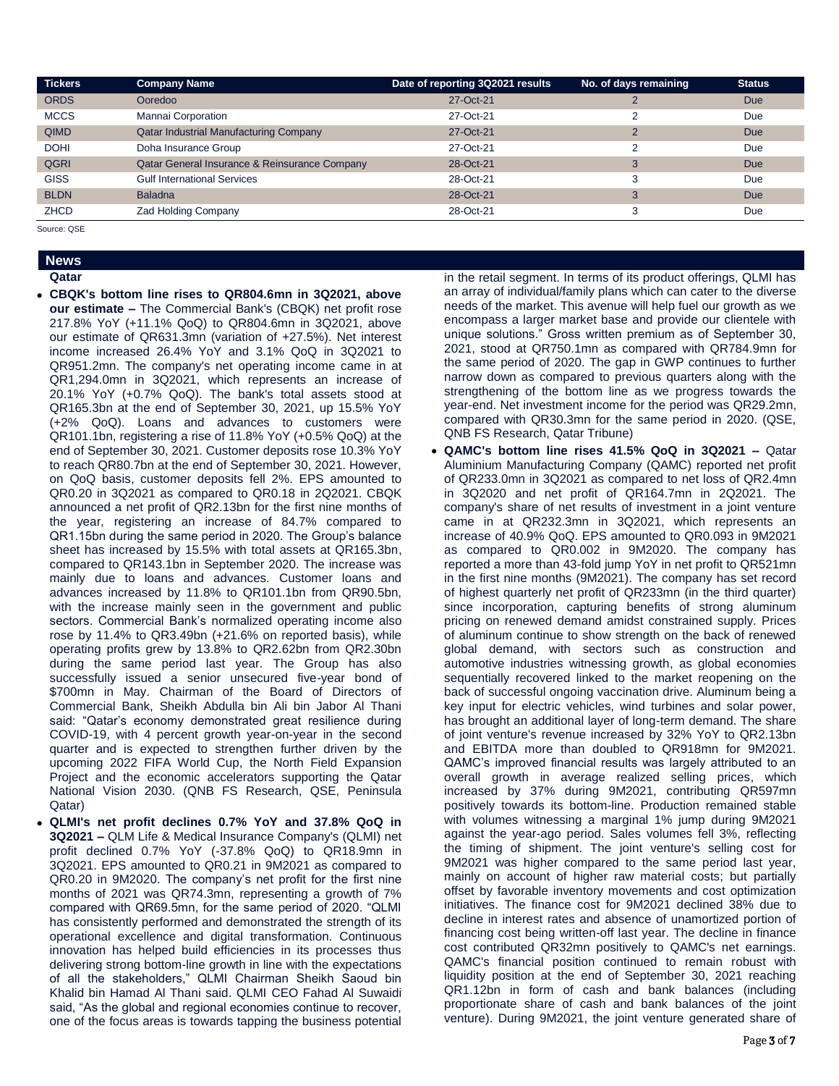| <b>Tickers</b> | <b>Company Name</b>                           | Date of reporting 3Q2021 results | No. of days remaining | <b>Status</b> |
|----------------|-----------------------------------------------|----------------------------------|-----------------------|---------------|
| <b>ORDS</b>    | Ooredoo                                       | 27-Oct-21                        |                       | <b>Due</b>    |
| <b>MCCS</b>    | Mannai Corporation                            | 27-Oct-21                        |                       | Due           |
| <b>QIMD</b>    | Qatar Industrial Manufacturing Company        | 27-Oct-21                        |                       | <b>Due</b>    |
| <b>DOHI</b>    | Doha Insurance Group                          | 27-Oct-21                        |                       | Due           |
| <b>QGRI</b>    | Qatar General Insurance & Reinsurance Company | 28-Oct-21                        | 3                     | <b>Due</b>    |
| <b>GISS</b>    | <b>Gulf International Services</b>            | 28-Oct-21                        | 3                     | Due           |
| <b>BLDN</b>    | <b>Baladna</b>                                | 28-Oct-21                        | 3                     | <b>Due</b>    |
| <b>ZHCD</b>    | <b>Zad Holding Company</b>                    | 28-Oct-21                        | 3                     | Due           |

Source: QSE

### **News Qatar**

- **CBQK's bottom line rises to QR804.6mn in 3Q2021, above our estimate –** The Commercial Bank's (CBQK) net profit rose 217.8% YoY (+11.1% QoQ) to QR804.6mn in 3Q2021, above our estimate of QR631.3mn (variation of +27.5%). Net interest income increased 26.4% YoY and 3.1% QoQ in 3Q2021 to QR951.2mn. The company's net operating income came in at QR1,294.0mn in 3Q2021, which represents an increase of 20.1% YoY (+0.7% QoQ). The bank's total assets stood at QR165.3bn at the end of September 30, 2021, up 15.5% YoY (+2% QoQ). Loans and advances to customers were QR101.1bn, registering a rise of 11.8% YoY (+0.5% QoQ) at the end of September 30, 2021. Customer deposits rose 10.3% YoY to reach QR80.7bn at the end of September 30, 2021. However, on QoQ basis, customer deposits fell 2%. EPS amounted to QR0.20 in 3Q2021 as compared to QR0.18 in 2Q2021. CBQK announced a net profit of QR2.13bn for the first nine months of the year, registering an increase of 84.7% compared to QR1.15bn during the same period in 2020. The Group's balance sheet has increased by 15.5% with total assets at QR165.3bn, compared to QR143.1bn in September 2020. The increase was mainly due to loans and advances. Customer loans and advances increased by 11.8% to QR101.1bn from QR90.5bn, with the increase mainly seen in the government and public sectors. Commercial Bank's normalized operating income also rose by 11.4% to QR3.49bn (+21.6% on reported basis), while operating profits grew by 13.8% to QR2.62bn from QR2.30bn during the same period last year. The Group has also successfully issued a senior unsecured five-year bond of \$700mn in May. Chairman of the Board of Directors of Commercial Bank, Sheikh Abdulla bin Ali bin Jabor Al Thani said: "Qatar's economy demonstrated great resilience during COVID-19, with 4 percent growth year-on-year in the second quarter and is expected to strengthen further driven by the upcoming 2022 FIFA World Cup, the North Field Expansion Project and the economic accelerators supporting the Qatar National Vision 2030. (QNB FS Research, QSE, Peninsula Qatar)
- **QLMI's net profit declines 0.7% YoY and 37.8% QoQ in 3Q2021 –** QLM Life & Medical Insurance Company's (QLMI) net profit declined 0.7% YoY (-37.8% QoQ) to QR18.9mn in 3Q2021. EPS amounted to QR0.21 in 9M2021 as compared to QR0.20 in 9M2020. The company's net profit for the first nine months of 2021 was QR74.3mn, representing a growth of 7% compared with QR69.5mn, for the same period of 2020. "QLMI has consistently performed and demonstrated the strength of its operational excellence and digital transformation. Continuous innovation has helped build efficiencies in its processes thus delivering strong bottom-line growth in line with the expectations of all the stakeholders," QLMI Chairman Sheikh Saoud bin Khalid bin Hamad Al Thani said. QLMI CEO Fahad Al Suwaidi said, "As the global and regional economies continue to recover, one of the focus areas is towards tapping the business potential

in the retail segment. In terms of its product offerings, QLMI has an array of individual/family plans which can cater to the diverse needs of the market. This avenue will help fuel our growth as we encompass a larger market base and provide our clientele with unique solutions." Gross written premium as of September 30, 2021, stood at QR750.1mn as compared with QR784.9mn for the same period of 2020. The gap in GWP continues to further narrow down as compared to previous quarters along with the strengthening of the bottom line as we progress towards the year-end. Net investment income for the period was QR29.2mn, compared with QR30.3mn for the same period in 2020. (QSE, QNB FS Research, Qatar Tribune)

 **QAMC's bottom line rises 41.5% QoQ in 3Q2021 –** Qatar Aluminium Manufacturing Company (QAMC) reported net profit of QR233.0mn in 3Q2021 as compared to net loss of QR2.4mn in 3Q2020 and net profit of QR164.7mn in 2Q2021. The company's share of net results of investment in a joint venture came in at QR232.3mn in 3Q2021, which represents an increase of 40.9% QoQ. EPS amounted to QR0.093 in 9M2021 as compared to QR0.002 in 9M2020. The company has reported a more than 43-fold jump YoY in net profit to QR521mn in the first nine months (9M2021). The company has set record of highest quarterly net profit of QR233mn (in the third quarter) since incorporation, capturing benefits of strong aluminum pricing on renewed demand amidst constrained supply. Prices of aluminum continue to show strength on the back of renewed global demand, with sectors such as construction and automotive industries witnessing growth, as global economies sequentially recovered linked to the market reopening on the back of successful ongoing vaccination drive. Aluminum being a key input for electric vehicles, wind turbines and solar power, has brought an additional layer of long-term demand. The share of joint venture's revenue increased by 32% YoY to QR2.13bn and EBITDA more than doubled to QR918mn for 9M2021. QAMC's improved financial results was largely attributed to an overall growth in average realized selling prices, which increased by 37% during 9M2021, contributing QR597mn positively towards its bottom-line. Production remained stable with volumes witnessing a marginal 1% jump during 9M2021 against the year-ago period. Sales volumes fell 3%, reflecting the timing of shipment. The joint venture's selling cost for 9M2021 was higher compared to the same period last year, mainly on account of higher raw material costs; but partially offset by favorable inventory movements and cost optimization initiatives. The finance cost for 9M2021 declined 38% due to decline in interest rates and absence of unamortized portion of financing cost being written-off last year. The decline in finance cost contributed QR32mn positively to QAMC's net earnings. QAMC's financial position continued to remain robust with liquidity position at the end of September 30, 2021 reaching QR1.12bn in form of cash and bank balances (including proportionate share of cash and bank balances of the joint venture). During 9M2021, the joint venture generated share of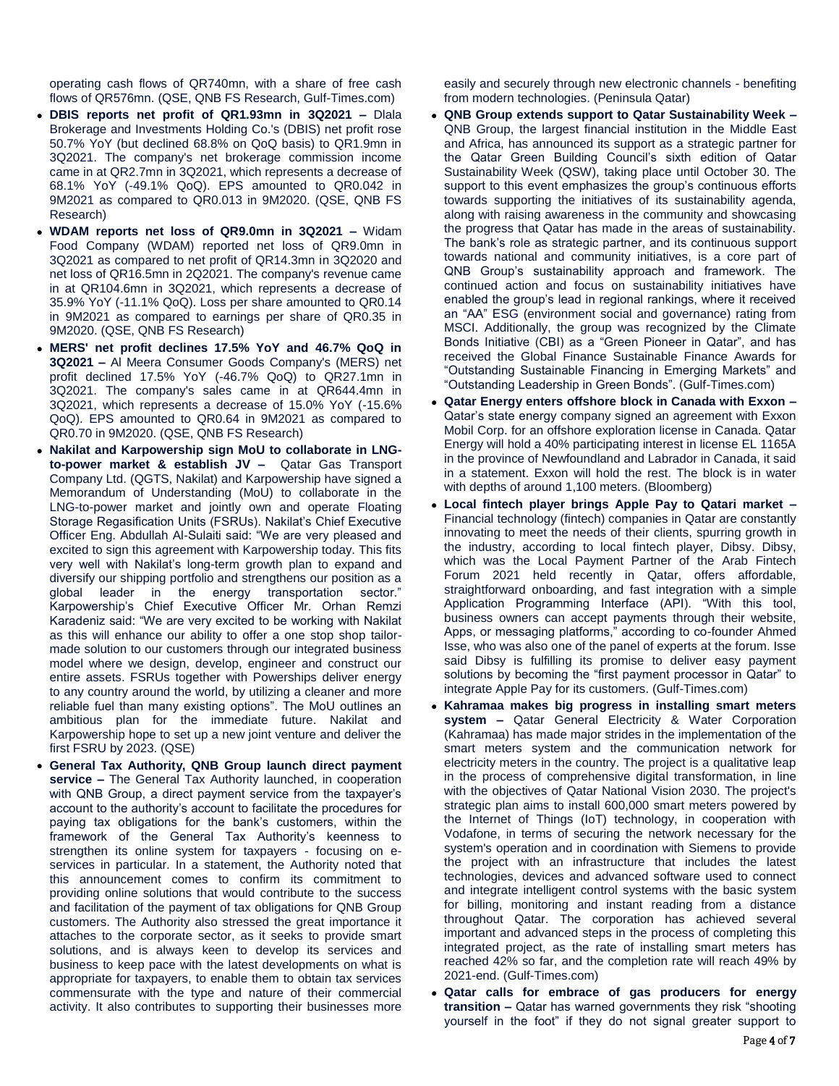operating cash flows of QR740mn, with a share of free cash flows of QR576mn. (QSE, QNB FS Research, Gulf-Times.com)

- **DBIS reports net profit of QR1.93mn in 3Q2021 –** Dlala Brokerage and Investments Holding Co.'s (DBIS) net profit rose 50.7% YoY (but declined 68.8% on QoQ basis) to QR1.9mn in 3Q2021. The company's net brokerage commission income came in at QR2.7mn in 3Q2021, which represents a decrease of 68.1% YoY (-49.1% QoQ). EPS amounted to QR0.042 in 9M2021 as compared to QR0.013 in 9M2020. (QSE, QNB FS Research)
- **WDAM reports net loss of QR9.0mn in 3Q2021 –** Widam Food Company (WDAM) reported net loss of QR9.0mn in 3Q2021 as compared to net profit of QR14.3mn in 3Q2020 and net loss of QR16.5mn in 2Q2021. The company's revenue came in at QR104.6mn in 3Q2021, which represents a decrease of 35.9% YoY (-11.1% QoQ). Loss per share amounted to QR0.14 in 9M2021 as compared to earnings per share of QR0.35 in 9M2020. (QSE, QNB FS Research)
- **MERS' net profit declines 17.5% YoY and 46.7% QoQ in 3Q2021 –** Al Meera Consumer Goods Company's (MERS) net profit declined 17.5% YoY (-46.7% QoQ) to QR27.1mn in 3Q2021. The company's sales came in at QR644.4mn in 3Q2021, which represents a decrease of 15.0% YoY (-15.6% QoQ). EPS amounted to QR0.64 in 9M2021 as compared to QR0.70 in 9M2020. (QSE, QNB FS Research)
- **Nakilat and Karpowership sign MoU to collaborate in LNGto-power market & establish JV –** Qatar Gas Transport Company Ltd. (QGTS, Nakilat) and Karpowership have signed a Memorandum of Understanding (MoU) to collaborate in the LNG-to-power market and jointly own and operate Floating Storage Regasification Units (FSRUs). Nakilat's Chief Executive Officer Eng. Abdullah Al-Sulaiti said: "We are very pleased and excited to sign this agreement with Karpowership today. This fits very well with Nakilat's long-term growth plan to expand and diversify our shipping portfolio and strengthens our position as a global leader in the energy transportation sector." Karpowership's Chief Executive Officer Mr. Orhan Remzi Karadeniz said: "We are very excited to be working with Nakilat as this will enhance our ability to offer a one stop shop tailormade solution to our customers through our integrated business model where we design, develop, engineer and construct our entire assets. FSRUs together with Powerships deliver energy to any country around the world, by utilizing a cleaner and more reliable fuel than many existing options". The MoU outlines an ambitious plan for the immediate future. Nakilat and Karpowership hope to set up a new joint venture and deliver the first FSRU by 2023. (QSE)
- **General Tax Authority, QNB Group launch direct payment service –** The General Tax Authority launched, in cooperation with QNB Group, a direct payment service from the taxpayer's account to the authority's account to facilitate the procedures for paying tax obligations for the bank's customers, within the framework of the General Tax Authority's keenness to strengthen its online system for taxpayers - focusing on eservices in particular. In a statement, the Authority noted that this announcement comes to confirm its commitment to providing online solutions that would contribute to the success and facilitation of the payment of tax obligations for QNB Group customers. The Authority also stressed the great importance it attaches to the corporate sector, as it seeks to provide smart solutions, and is always keen to develop its services and business to keep pace with the latest developments on what is appropriate for taxpayers, to enable them to obtain tax services commensurate with the type and nature of their commercial activity. It also contributes to supporting their businesses more

easily and securely through new electronic channels - benefiting from modern technologies. (Peninsula Qatar)

- **QNB Group extends support to Qatar Sustainability Week –** QNB Group, the largest financial institution in the Middle East and Africa, has announced its support as a strategic partner for the Qatar Green Building Council's sixth edition of Qatar Sustainability Week (QSW), taking place until October 30. The support to this event emphasizes the group's continuous efforts towards supporting the initiatives of its sustainability agenda, along with raising awareness in the community and showcasing the progress that Qatar has made in the areas of sustainability. The bank's role as strategic partner, and its continuous support towards national and community initiatives, is a core part of QNB Group's sustainability approach and framework. The continued action and focus on sustainability initiatives have enabled the group's lead in regional rankings, where it received an "AA" ESG (environment social and governance) rating from MSCI. Additionally, the group was recognized by the Climate Bonds Initiative (CBI) as a "Green Pioneer in Qatar", and has received the Global Finance Sustainable Finance Awards for "Outstanding Sustainable Financing in Emerging Markets" and "Outstanding Leadership in Green Bonds". (Gulf-Times.com)
- **Qatar Energy enters offshore block in Canada with Exxon –** Qatar's state energy company signed an agreement with Exxon Mobil Corp. for an offshore exploration license in Canada. Qatar Energy will hold a 40% participating interest in license EL 1165A in the province of Newfoundland and Labrador in Canada, it said in a statement. Exxon will hold the rest. The block is in water with depths of around 1,100 meters. (Bloomberg)
- **Local fintech player brings Apple Pay to Qatari market –** Financial technology (fintech) companies in Qatar are constantly innovating to meet the needs of their clients, spurring growth in the industry, according to local fintech player, Dibsy. Dibsy, which was the Local Payment Partner of the Arab Fintech Forum 2021 held recently in Qatar, offers affordable, straightforward onboarding, and fast integration with a simple Application Programming Interface (API). "With this tool, business owners can accept payments through their website, Apps, or messaging platforms," according to co-founder Ahmed Isse, who was also one of the panel of experts at the forum. Isse said Dibsy is fulfilling its promise to deliver easy payment solutions by becoming the "first payment processor in Qatar" to integrate Apple Pay for its customers. (Gulf-Times.com)
- **Kahramaa makes big progress in installing smart meters system –** Qatar General Electricity & Water Corporation (Kahramaa) has made major strides in the implementation of the smart meters system and the communication network for electricity meters in the country. The project is a qualitative leap in the process of comprehensive digital transformation, in line with the objectives of Qatar National Vision 2030. The project's strategic plan aims to install 600,000 smart meters powered by the Internet of Things (IoT) technology, in cooperation with Vodafone, in terms of securing the network necessary for the system's operation and in coordination with Siemens to provide the project with an infrastructure that includes the latest technologies, devices and advanced software used to connect and integrate intelligent control systems with the basic system for billing, monitoring and instant reading from a distance throughout Qatar. The corporation has achieved several important and advanced steps in the process of completing this integrated project, as the rate of installing smart meters has reached 42% so far, and the completion rate will reach 49% by 2021-end. (Gulf-Times.com)
- **Qatar calls for embrace of gas producers for energy transition –** Qatar has warned governments they risk "shooting yourself in the foot" if they do not signal greater support to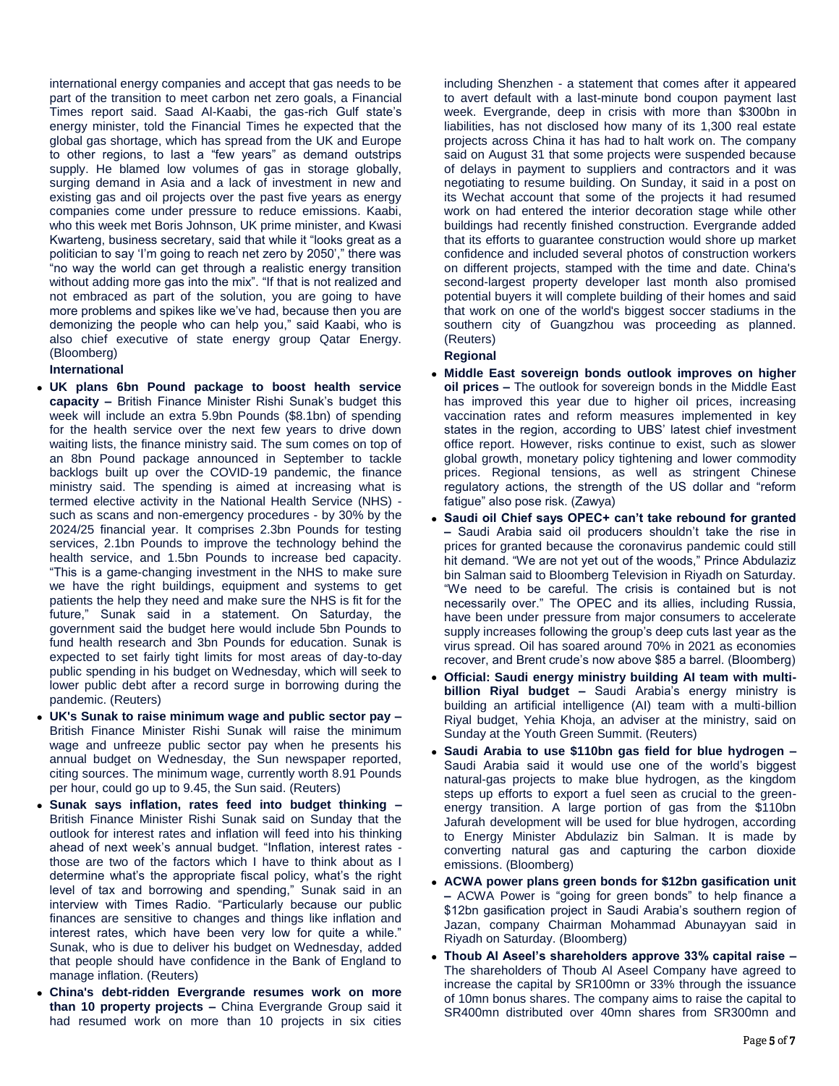international energy companies and accept that gas needs to be part of the transition to meet carbon net zero goals, a Financial Times report said. Saad Al-Kaabi, the gas-rich Gulf state's energy minister, told the Financial Times he expected that the global gas shortage, which has spread from the UK and Europe to other regions, to last a "few years" as demand outstrips supply. He blamed low volumes of gas in storage globally, surging demand in Asia and a lack of investment in new and existing gas and oil projects over the past five years as energy companies come under pressure to reduce emissions. Kaabi, who this week met Boris Johnson, UK prime minister, and Kwasi Kwarteng, business secretary, said that while it "looks great as a politician to say 'I'm going to reach net zero by 2050'," there was "no way the world can get through a realistic energy transition without adding more gas into the mix". "If that is not realized and not embraced as part of the solution, you are going to have more problems and spikes like we've had, because then you are demonizing the people who can help you," said Kaabi, who is also chief executive of state energy group Qatar Energy. (Bloomberg)

### **International**

- **UK plans 6bn Pound package to boost health service capacity –** British Finance Minister Rishi Sunak's budget this week will include an extra 5.9bn Pounds (\$8.1bn) of spending for the health service over the next few years to drive down waiting lists, the finance ministry said. The sum comes on top of an 8bn Pound package announced in September to tackle backlogs built up over the COVID-19 pandemic, the finance ministry said. The spending is aimed at increasing what is termed elective activity in the National Health Service (NHS) such as scans and non-emergency procedures - by 30% by the 2024/25 financial year. It comprises 2.3bn Pounds for testing services, 2.1bn Pounds to improve the technology behind the health service, and 1.5bn Pounds to increase bed capacity. "This is a game-changing investment in the NHS to make sure we have the right buildings, equipment and systems to get patients the help they need and make sure the NHS is fit for the future," Sunak said in a statement. On Saturday, the government said the budget here would include 5bn Pounds to fund health research and 3bn Pounds for education. Sunak is expected to set fairly tight limits for most areas of day-to-day public spending in his budget on Wednesday, which will seek to lower public debt after a record surge in borrowing during the pandemic. (Reuters)
- **UK's Sunak to raise minimum wage and public sector pay –** British Finance Minister Rishi Sunak will raise the minimum wage and unfreeze public sector pay when he presents his annual budget on Wednesday, the Sun newspaper reported, citing sources. The minimum wage, currently worth 8.91 Pounds per hour, could go up to 9.45, the Sun said. (Reuters)
- **Sunak says inflation, rates feed into budget thinking –** British Finance Minister Rishi Sunak said on Sunday that the outlook for interest rates and inflation will feed into his thinking ahead of next week's annual budget. "Inflation, interest rates those are two of the factors which I have to think about as I determine what's the appropriate fiscal policy, what's the right level of tax and borrowing and spending," Sunak said in an interview with Times Radio. "Particularly because our public finances are sensitive to changes and things like inflation and interest rates, which have been very low for quite a while." Sunak, who is due to deliver his budget on Wednesday, added that people should have confidence in the Bank of England to manage inflation. (Reuters)
- **China's debt-ridden Evergrande resumes work on more than 10 property projects –** China Evergrande Group said it had resumed work on more than 10 projects in six cities

including Shenzhen - a statement that comes after it appeared to avert default with a last-minute bond coupon payment last week. Evergrande, deep in crisis with more than \$300bn in liabilities, has not disclosed how many of its 1,300 real estate projects across China it has had to halt work on. The company said on August 31 that some projects were suspended because of delays in payment to suppliers and contractors and it was negotiating to resume building. On Sunday, it said in a post on its Wechat account that some of the projects it had resumed work on had entered the interior decoration stage while other buildings had recently finished construction. Evergrande added that its efforts to guarantee construction would shore up market confidence and included several photos of construction workers on different projects, stamped with the time and date. China's second-largest property developer last month also promised potential buyers it will complete building of their homes and said that work on one of the world's biggest soccer stadiums in the southern city of Guangzhou was proceeding as planned. (Reuters)

### **Regional**

- **Middle East sovereign bonds outlook improves on higher oil prices –** The outlook for sovereign bonds in the Middle East has improved this year due to higher oil prices, increasing vaccination rates and reform measures implemented in key states in the region, according to UBS' latest chief investment office report. However, risks continue to exist, such as slower global growth, monetary policy tightening and lower commodity prices. Regional tensions, as well as stringent Chinese regulatory actions, the strength of the US dollar and "reform fatigue" also pose risk. (Zawya)
- **Saudi oil Chief says OPEC+ can't take rebound for granted –** Saudi Arabia said oil producers shouldn't take the rise in prices for granted because the coronavirus pandemic could still hit demand. "We are not yet out of the woods," Prince Abdulaziz bin Salman said to Bloomberg Television in Riyadh on Saturday. "We need to be careful. The crisis is contained but is not necessarily over." The OPEC and its allies, including Russia, have been under pressure from major consumers to accelerate supply increases following the group's deep cuts last year as the virus spread. Oil has soared around 70% in 2021 as economies recover, and Brent crude's now above \$85 a barrel. (Bloomberg)
- **Official: Saudi energy ministry building AI team with multibillion Riyal budget –** Saudi Arabia's energy ministry is building an artificial intelligence (AI) team with a multi-billion Riyal budget, Yehia Khoja, an adviser at the ministry, said on Sunday at the Youth Green Summit. (Reuters)
- **Saudi Arabia to use \$110bn gas field for blue hydrogen –** Saudi Arabia said it would use one of the world's biggest natural-gas projects to make blue hydrogen, as the kingdom steps up efforts to export a fuel seen as crucial to the greenenergy transition. A large portion of gas from the \$110bn Jafurah development will be used for blue hydrogen, according to Energy Minister Abdulaziz bin Salman. It is made by converting natural gas and capturing the carbon dioxide emissions. (Bloomberg)
- **ACWA power plans green bonds for \$12bn gasification unit –** ACWA Power is "going for green bonds" to help finance a \$12bn gasification project in Saudi Arabia's southern region of Jazan, company Chairman Mohammad Abunayyan said in Riyadh on Saturday. (Bloomberg)
- **Thoub Al Aseel's shareholders approve 33% capital raise –** The shareholders of Thoub Al Aseel Company have agreed to increase the capital by SR100mn or 33% through the issuance of 10mn bonus shares. The company aims to raise the capital to SR400mn distributed over 40mn shares from SR300mn and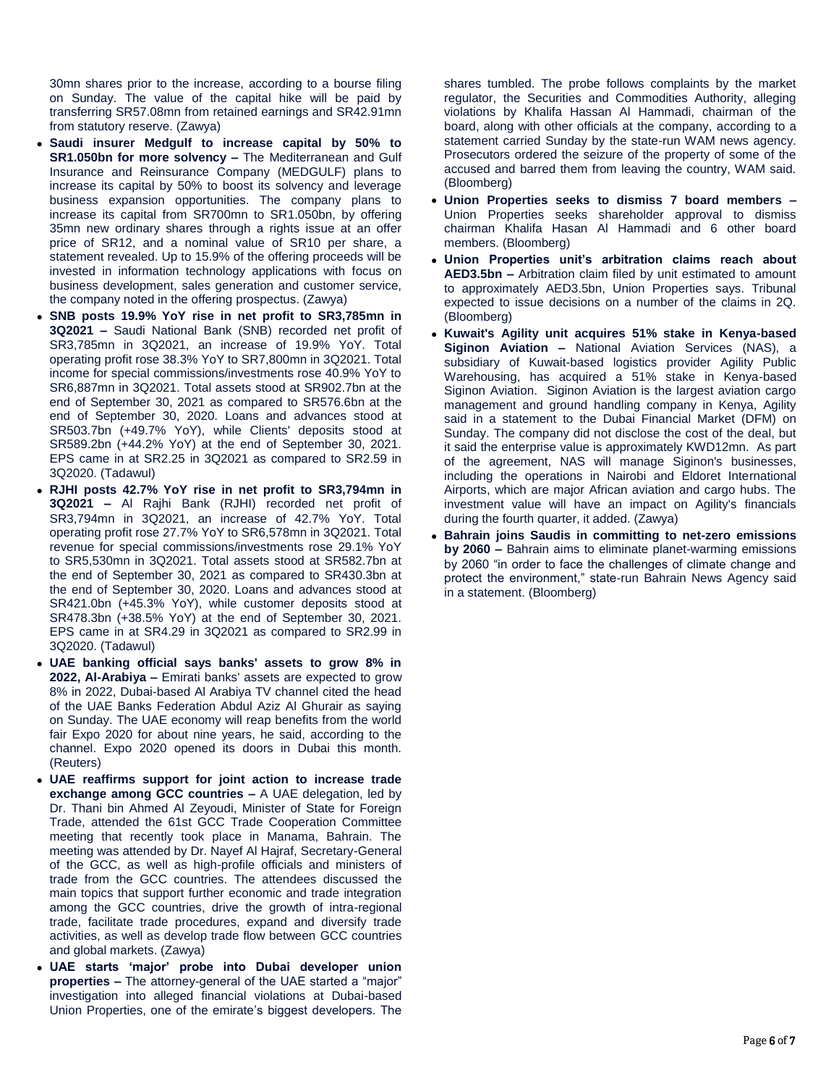30mn shares prior to the increase, according to a bourse filing on Sunday. The value of the capital hike will be paid by transferring SR57.08mn from retained earnings and SR42.91mn from statutory reserve. (Zawya)

- **Saudi insurer Medgulf to increase capital by 50% to SR1.050bn for more solvency –** The Mediterranean and Gulf Insurance and Reinsurance Company (MEDGULF) plans to increase its capital by 50% to boost its solvency and leverage business expansion opportunities. The company plans to increase its capital from SR700mn to SR1.050bn, by offering 35mn new ordinary shares through a rights issue at an offer price of SR12, and a nominal value of SR10 per share, a statement revealed. Up to 15.9% of the offering proceeds will be invested in information technology applications with focus on business development, sales generation and customer service, the company noted in the offering prospectus. (Zawya)
- **SNB posts 19.9% YoY rise in net profit to SR3,785mn in 3Q2021 –** Saudi National Bank (SNB) recorded net profit of SR3,785mn in 3Q2021, an increase of 19.9% YoY. Total operating profit rose 38.3% YoY to SR7,800mn in 3Q2021. Total income for special commissions/investments rose 40.9% YoY to SR6,887mn in 3Q2021. Total assets stood at SR902.7bn at the end of September 30, 2021 as compared to SR576.6bn at the end of September 30, 2020. Loans and advances stood at SR503.7bn (+49.7% YoY), while Clients' deposits stood at SR589.2bn (+44.2% YoY) at the end of September 30, 2021. EPS came in at SR2.25 in 3Q2021 as compared to SR2.59 in 3Q2020. (Tadawul)
- **RJHI posts 42.7% YoY rise in net profit to SR3,794mn in 3Q2021 –** Al Rajhi Bank (RJHI) recorded net profit of SR3,794mn in 3Q2021, an increase of 42.7% YoY. Total operating profit rose 27.7% YoY to SR6,578mn in 3Q2021. Total revenue for special commissions/investments rose 29.1% YoY to SR5,530mn in 3Q2021. Total assets stood at SR582.7bn at the end of September 30, 2021 as compared to SR430.3bn at the end of September 30, 2020. Loans and advances stood at SR421.0bn (+45.3% YoY), while customer deposits stood at SR478.3bn (+38.5% YoY) at the end of September 30, 2021. EPS came in at SR4.29 in 3Q2021 as compared to SR2.99 in 3Q2020. (Tadawul)
- **UAE banking official says banks' assets to grow 8% in 2022, Al-Arabiya –** Emirati banks' assets are expected to grow 8% in 2022, Dubai-based Al Arabiya TV channel cited the head of the UAE Banks Federation Abdul Aziz Al Ghurair as saying on Sunday. The UAE economy will reap benefits from the world fair Expo 2020 for about nine years, he said, according to the channel. Expo 2020 opened its doors in Dubai this month. (Reuters)
- **UAE reaffirms support for joint action to increase trade exchange among GCC countries –** A UAE delegation, led by Dr. Thani bin Ahmed Al Zeyoudi, Minister of State for Foreign Trade, attended the 61st GCC Trade Cooperation Committee meeting that recently took place in Manama, Bahrain. The meeting was attended by Dr. Nayef Al Hajraf, Secretary-General of the GCC, as well as high-profile officials and ministers of trade from the GCC countries. The attendees discussed the main topics that support further economic and trade integration among the GCC countries, drive the growth of intra-regional trade, facilitate trade procedures, expand and diversify trade activities, as well as develop trade flow between GCC countries and global markets. (Zawya)
- **UAE starts 'major' probe into Dubai developer union properties –** The attorney-general of the UAE started a "major" investigation into alleged financial violations at Dubai-based Union Properties, one of the emirate's biggest developers. The

shares tumbled. The probe follows complaints by the market regulator, the Securities and Commodities Authority, alleging violations by Khalifa Hassan Al Hammadi, chairman of the board, along with other officials at the company, according to a statement carried Sunday by the state-run WAM news agency. Prosecutors ordered the seizure of the property of some of the accused and barred them from leaving the country, WAM said. (Bloomberg)

- **Union Properties seeks to dismiss 7 board members –** Union Properties seeks shareholder approval to dismiss chairman Khalifa Hasan Al Hammadi and 6 other board members. (Bloomberg)
- **Union Properties unit's arbitration claims reach about AED3.5bn –** Arbitration claim filed by unit estimated to amount to approximately AED3.5bn, Union Properties says. Tribunal expected to issue decisions on a number of the claims in 2Q. (Bloomberg)
- **Kuwait's Agility unit acquires 51% stake in Kenya-based Siginon Aviation –** National Aviation Services (NAS), a subsidiary of Kuwait-based logistics provider Agility Public Warehousing, has acquired a 51% stake in Kenya-based Siginon Aviation. Siginon Aviation is the largest aviation cargo management and ground handling company in Kenya, Agility said in a statement to the Dubai Financial Market (DFM) on Sunday. The company did not disclose the cost of the deal, but it said the enterprise value is approximately KWD12mn. As part of the agreement, NAS will manage Siginon's businesses, including the operations in Nairobi and Eldoret International Airports, which are major African aviation and cargo hubs. The investment value will have an impact on Agility's financials during the fourth quarter, it added. (Zawya)
- **Bahrain joins Saudis in committing to net-zero emissions by 2060 –** Bahrain aims to eliminate planet-warming emissions by 2060 "in order to face the challenges of climate change and protect the environment," state-run Bahrain News Agency said in a statement. (Bloomberg)